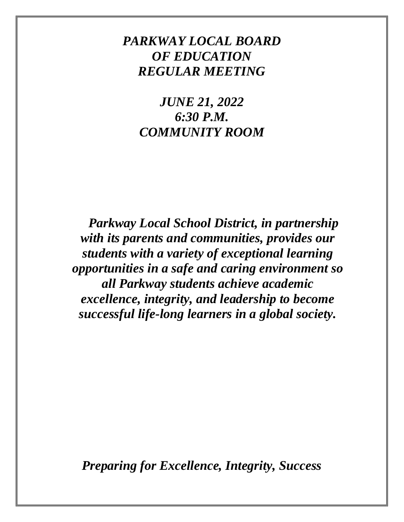# *PARKWAY LOCAL BOARD OF EDUCATION REGULAR MEETING*

*JUNE 21, 2022 6:30 P.M. COMMUNITY ROOM*

*Parkway Local School District, in partnership with its parents and communities, provides our students with a variety of exceptional learning opportunities in a safe and caring environment so all Parkway students achieve academic excellence, integrity, and leadership to become successful life-long learners in a global society.*

*Preparing for Excellence, Integrity, Success*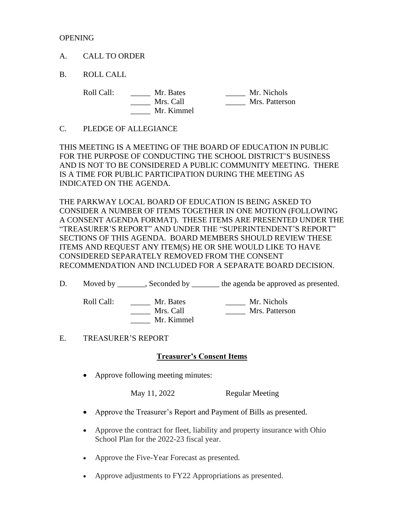**OPENING** 

A. CALL TO ORDER

B. ROLL CALL

Roll Call: \_\_\_\_\_\_ Mr. Bates \_\_\_\_\_ Mr. Nichols \_\_\_\_\_ Mrs. Call \_\_\_\_\_ Mrs. Patterson \_\_\_\_\_ Mr. Kimmel

C. PLEDGE OF ALLEGIANCE

THIS MEETING IS A MEETING OF THE BOARD OF EDUCATION IN PUBLIC FOR THE PURPOSE OF CONDUCTING THE SCHOOL DISTRICT'S BUSINESS AND IS NOT TO BE CONSIDERED A PUBLIC COMMUNITY MEETING. THERE IS A TIME FOR PUBLIC PARTICIPATION DURING THE MEETING AS INDICATED ON THE AGENDA.

THE PARKWAY LOCAL BOARD OF EDUCATION IS BEING ASKED TO CONSIDER A NUMBER OF ITEMS TOGETHER IN ONE MOTION (FOLLOWING A CONSENT AGENDA FORMAT). THESE ITEMS ARE PRESENTED UNDER THE "TREASURER'S REPORT" AND UNDER THE "SUPERINTENDENT'S REPORT" SECTIONS OF THIS AGENDA. BOARD MEMBERS SHOULD REVIEW THESE ITEMS AND REQUEST ANY ITEM(S) HE OR SHE WOULD LIKE TO HAVE CONSIDERED SEPARATELY REMOVED FROM THE CONSENT RECOMMENDATION AND INCLUDED FOR A SEPARATE BOARD DECISION.

D. Moved by \_\_\_\_\_\_, Seconded by \_\_\_\_\_\_\_ the agenda be approved as presented.

Roll Call: \_\_\_\_\_\_ Mr. Bates \_\_\_\_\_\_ Mr. Nichols \_\_\_\_\_ Mr. Kimmel

\_\_\_\_\_ Mrs. Call \_\_\_\_\_ Mrs. Patterson

### E. TREASURER'S REPORT

### **Treasurer's Consent Items**

• Approve following meeting minutes:

May 11, 2022 Regular Meeting

- Approve the Treasurer's Report and Payment of Bills as presented.
- Approve the contract for fleet, liability and property insurance with Ohio School Plan for the 2022-23 fiscal year.
- Approve the Five-Year Forecast as presented.
- Approve adjustments to FY22 Appropriations as presented.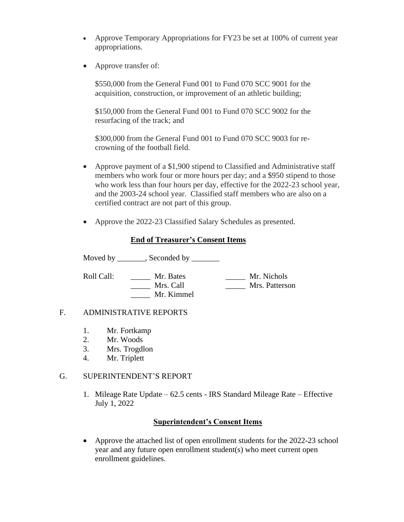- Approve Temporary Appropriations for FY23 be set at 100% of current year appropriations.
- Approve transfer of:

\$550,000 from the General Fund 001 to Fund 070 SCC 9001 for the acquisition, construction, or improvement of an athletic building;

\$150,000 from the General Fund 001 to Fund 070 SCC 9002 for the resurfacing of the track; and

\$300,000 from the General Fund 001 to Fund 070 SCC 9003 for recrowning of the football field.

- Approve payment of a \$1,900 stipend to Classified and Administrative staff members who work four or more hours per day; and a \$950 stipend to those who work less than four hours per day, effective for the 2022-23 school year, and the 2003-24 school year. Classified staff members who are also on a certified contract are not part of this group.
- Approve the 2022-23 Classified Salary Schedules as presented.

## **End of Treasurer's Consent Items**

Moved by \_\_\_\_\_\_, Seconded by \_\_\_\_\_\_

Roll Call:  $\begin{array}{c|c}\n\hline\n\text{Mr. Bates} \\
\hline\n\text{Mrs. Call} \\
\hline\n\text{Mrs. Patters} \\
\hline\n\end{array}$ \_\_\_\_\_ Mrs. Call \_\_\_\_\_ Mrs. Patterson \_\_\_\_\_ Mr. Kimmel

### F. ADMINISTRATIVE REPORTS

- 1. Mr. Fortkamp
- 2. Mr. Woods
- 3. Mrs. Trogdlon
- 4. Mr. Triplett

### G. SUPERINTENDENT'S REPORT

1. Mileage Rate Update – 62.5 cents - IRS Standard Mileage Rate – Effective July 1, 2022

### **Superintendent's Consent Items**

• Approve the attached list of open enrollment students for the 2022-23 school year and any future open enrollment student(s) who meet current open enrollment guidelines.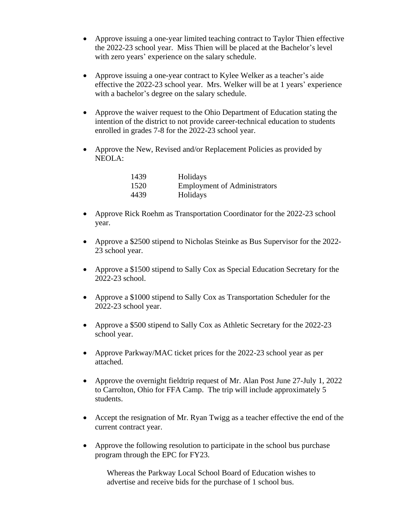- Approve issuing a one-year limited teaching contract to Taylor Thien effective the 2022-23 school year. Miss Thien will be placed at the Bachelor's level with zero years' experience on the salary schedule.
- Approve issuing a one-year contract to Kylee Welker as a teacher's aide effective the 2022-23 school year. Mrs. Welker will be at 1 years' experience with a bachelor's degree on the salary schedule.
- Approve the waiver request to the Ohio Department of Education stating the intention of the district to not provide career-technical education to students enrolled in grades 7-8 for the 2022-23 school year.
- Approve the New, Revised and/or Replacement Policies as provided by NEOLA:

| 1439 | Holidays                            |
|------|-------------------------------------|
| 1520 | <b>Employment of Administrators</b> |
| 4439 | Holidays                            |

- Approve Rick Roehm as Transportation Coordinator for the 2022-23 school year.
- Approve a \$2500 stipend to Nicholas Steinke as Bus Supervisor for the 2022- 23 school year.
- Approve a \$1500 stipend to Sally Cox as Special Education Secretary for the 2022-23 school.
- Approve a \$1000 stipend to Sally Cox as Transportation Scheduler for the 2022-23 school year.
- Approve a \$500 stipend to Sally Cox as Athletic Secretary for the 2022-23 school year.
- Approve Parkway/MAC ticket prices for the 2022-23 school year as per attached.
- Approve the overnight fieldtrip request of Mr. Alan Post June 27-July 1, 2022 to Carrolton, Ohio for FFA Camp. The trip will include approximately 5 students.
- Accept the resignation of Mr. Ryan Twigg as a teacher effective the end of the current contract year.
- Approve the following resolution to participate in the school bus purchase program through the EPC for FY23.

Whereas the Parkway Local School Board of Education wishes to advertise and receive bids for the purchase of 1 school bus.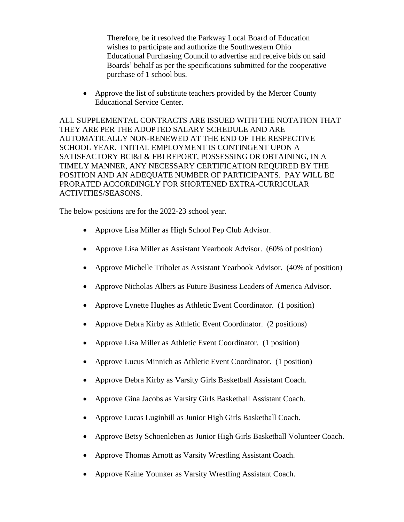Therefore, be it resolved the Parkway Local Board of Education wishes to participate and authorize the Southwestern Ohio Educational Purchasing Council to advertise and receive bids on said Boards' behalf as per the specifications submitted for the cooperative purchase of 1 school bus.

• Approve the list of substitute teachers provided by the Mercer County Educational Service Center.

ALL SUPPLEMENTAL CONTRACTS ARE ISSUED WITH THE NOTATION THAT THEY ARE PER THE ADOPTED SALARY SCHEDULE AND ARE AUTOMATICALLY NON-RENEWED AT THE END OF THE RESPECTIVE SCHOOL YEAR. INITIAL EMPLOYMENT IS CONTINGENT UPON A SATISFACTORY BCI&I & FBI REPORT, POSSESSING OR OBTAINING, IN A TIMELY MANNER, ANY NECESSARY CERTIFICATION REQUIRED BY THE POSITION AND AN ADEQUATE NUMBER OF PARTICIPANTS. PAY WILL BE PRORATED ACCORDINGLY FOR SHORTENED EXTRA-CURRICULAR ACTIVITIES/SEASONS.

The below positions are for the 2022-23 school year.

- Approve Lisa Miller as High School Pep Club Advisor.
- Approve Lisa Miller as Assistant Yearbook Advisor. (60% of position)
- Approve Michelle Tribolet as Assistant Yearbook Advisor. (40% of position)
- Approve Nicholas Albers as Future Business Leaders of America Advisor.
- Approve Lynette Hughes as Athletic Event Coordinator. (1 position)
- Approve Debra Kirby as Athletic Event Coordinator. (2 positions)
- Approve Lisa Miller as Athletic Event Coordinator. (1 position)
- Approve Lucus Minnich as Athletic Event Coordinator. (1 position)
- Approve Debra Kirby as Varsity Girls Basketball Assistant Coach.
- Approve Gina Jacobs as Varsity Girls Basketball Assistant Coach.
- Approve Lucas Luginbill as Junior High Girls Basketball Coach.
- Approve Betsy Schoenleben as Junior High Girls Basketball Volunteer Coach.
- Approve Thomas Arnott as Varsity Wrestling Assistant Coach.
- Approve Kaine Younker as Varsity Wrestling Assistant Coach.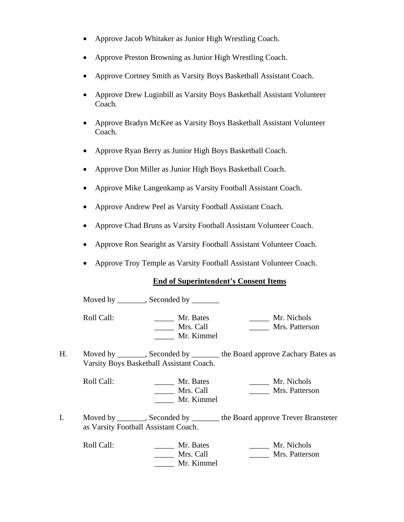- Approve Jacob Whitaker as Junior High Wrestling Coach.
- Approve Preston Browning as Junior High Wrestling Coach.
- Approve Cortney Smith as Varsity Boys Basketball Assistant Coach.
- Approve Drew Luginbill as Varsity Boys Basketball Assistant Volunteer Coach.
- Approve Bradyn McKee as Varsity Boys Basketball Assistant Volunteer Coach.
- Approve Ryan Berry as Junior High Boys Basketball Coach.
- Approve Don Miller as Junior High Boys Basketball Coach.
- Approve Mike Langenkamp as Varsity Football Assistant Coach.
- Approve Andrew Peel as Varsity Football Assistant Coach.
- Approve Chad Bruns as Varsity Football Assistant Volunteer Coach.
- Approve Ron Searight as Varsity Football Assistant Volunteer Coach.
- Approve Troy Temple as Varsity Football Assistant Volunteer Coach.

### **End of Superintendent's Consent Items**

Moved by \_\_\_\_\_\_, Seconded by \_\_\_\_\_\_

Roll Call: \_\_\_\_\_\_\_\_\_\_ Mr. Bates \_\_\_\_\_\_\_ Mr. Nichols<br>Mrs. Call \_\_\_\_\_\_\_ Mrs. Call Mrs. Patterso \_\_\_\_\_ Mrs. Call \_\_\_\_\_ Mrs. Patterson \_\_\_\_\_ Mr. Kimmel

H. Moved by \_\_\_\_\_\_, Seconded by \_\_\_\_\_\_\_ the Board approve Zachary Bates as Varsity Boys Basketball Assistant Coach.

Roll Call: \_\_\_\_\_\_\_ Mr. Bates \_\_\_\_\_\_ Mr. Nichols \_\_\_\_\_ Mrs. Call \_\_\_\_\_ Mrs. Patterson \_\_\_\_\_ Mr. Kimmel

I. Moved by Seconded by the Board approve Trever Bransteter as Varsity Football Assistant Coach.

Roll Call: \_\_\_\_\_\_ Mr. Bates \_\_\_\_\_ Mr. Nichols \_\_\_\_\_ Mrs. Call \_\_\_\_\_ Mrs. Patterson \_\_\_\_\_ Mr. Kimmel